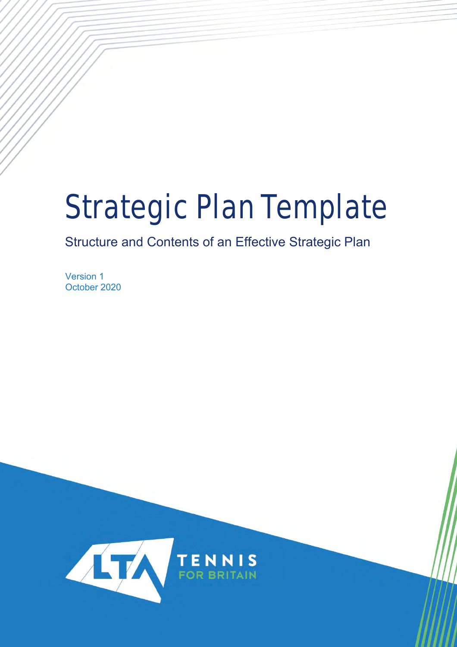# Strategic Plan Template

# Structure and Contents of an Effective Strategic Plan

Version 1 October 2020

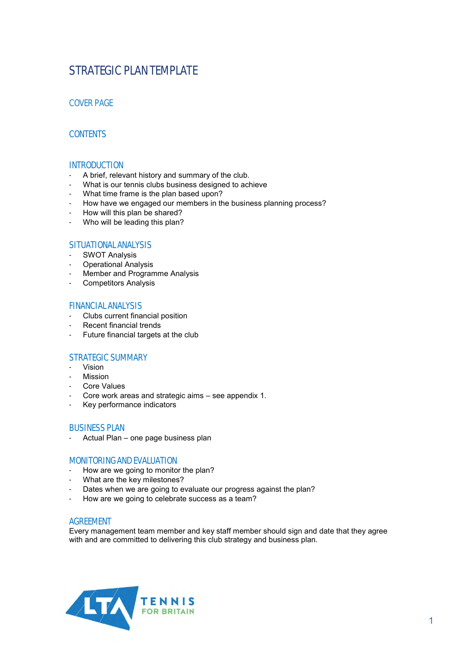## STRATEGIC PLAN TEMPLATE

## COVER PAGE

## **CONTENTS**

#### **INTRODUCTION**

- A brief, relevant history and summary of the club.
- What is our tennis clubs business designed to achieve
- What time frame is the plan based upon?
- How have we engaged our members in the business planning process?
- How will this plan be shared?
- Who will be leading this plan?

#### SITUATIONAL ANALYSIS

- SWOT Analysis
- Operational Analysis
- Member and Programme Analysis
- Competitors Analysis

#### FINANCIAL ANALYSIS

- Clubs current financial position
- Recent financial trends
- Future financial targets at the club

#### STRATEGIC SUMMARY

- Vision
- **Mission**
- Core Values
- Core work areas and strategic aims see appendix 1.
- Key performance indicators

#### BUSINESS PLAN

Actual Plan – one page business plan

#### MONITORING AND EVALUATION

- How are we going to monitor the plan?
- What are the key milestones?
- Dates when we are going to evaluate our progress against the plan?
- How are we going to celebrate success as a team?

#### AGREEMENT

Every management team member and key staff member should sign and date that they agree with and are committed to delivering this club strategy and business plan.